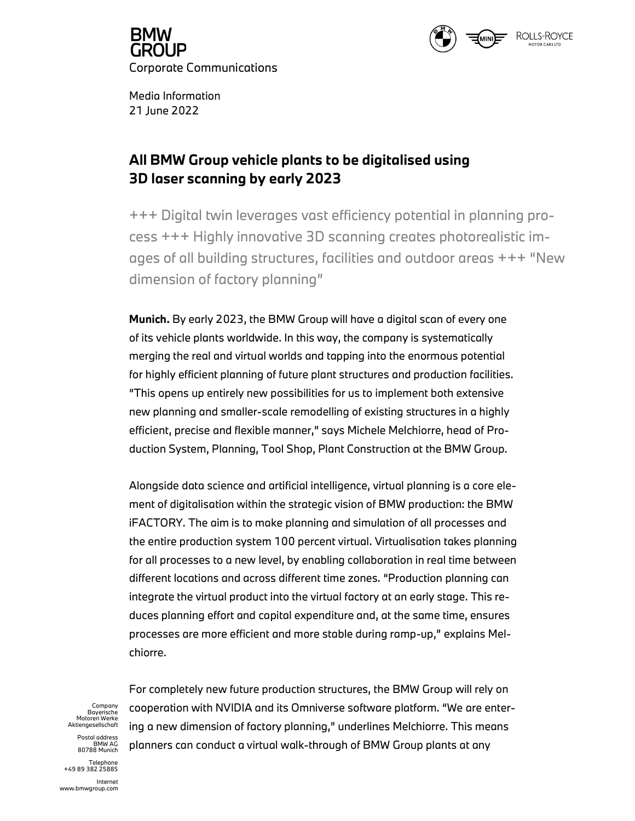



Media Information 21 June 2022

## All BMW Group vehicle plants to be digitalised using 3D laser scanning by early 2023

+++ Digital twin leverages vast efficiency potential in planning process +++ Highly innovative 3D scanning creates photorealistic images of all building structures, facilities and outdoor areas +++ "New dimension of factory planning"

Munich. By early 2023, the BMW Group will have a digital scan of every one of its vehicle plants worldwide. In this way, the company is systematically merging the real and virtual worlds and tapping into the enormous potential for highly efficient planning of future plant structures and production facilities. "This opens up entirely new possibilities for us to implement both extensive new planning and smaller-scale remodelling of existing structures in a highly efficient, precise and flexible manner," says Michele Melchiorre, head of Production System, Planning, Tool Shop, Plant Construction at the BMW Group.

Alongside data science and artificial intelligence, virtual planning is a core element of digitalisation within the strategic vision of BMW production: the BMW iFACTORY. The aim is to make planning and simulation of all processes and the entire production system 100 percent virtual. Virtualisation takes planning for all processes to a new level, by enabling collaboration in real time between different locations and across different time zones. "Production planning can integrate the virtual product into the virtual factory at an early stage. This reduces planning effort and capital expenditure and, at the same time, ensures processes are more efficient and more stable during ramp-up," explains Melchiorre.

Bayerische<br>Motoren Werke<br>Aktiengesellschaft<br>Postal address

BMW AG<br>80788 Munich

Telephone +49 89 382 25885

For completely new future production structures, the BMW Group will rely on <sup>company</sup> cooperation with NVIDIA and its Omniverse software platform. "We are entering a new dimension of factory planning," underlines Melchiorre. This means planners can conduct a virtual walk-through of BMW Group plants at any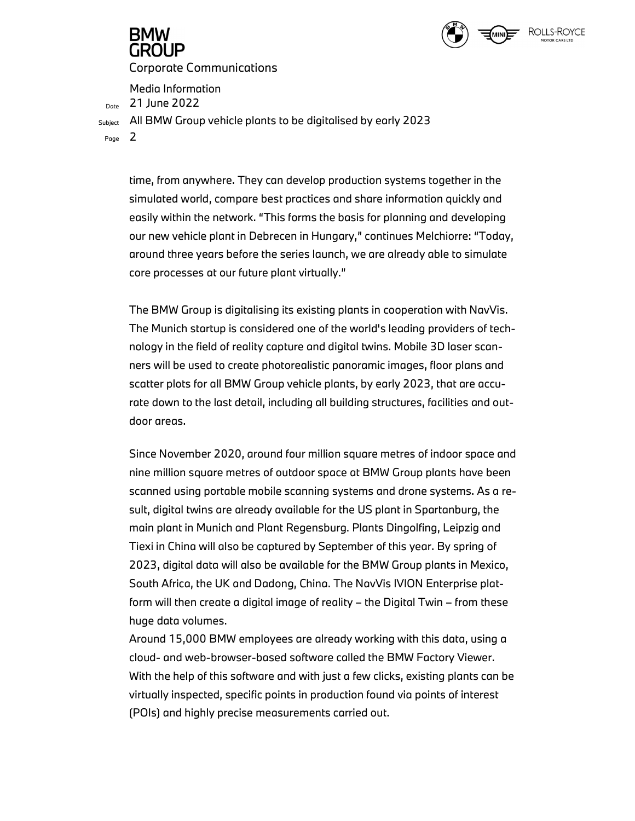

# GROUP

Corporate Communications

Media Information<br> $D_{\text{Dote}}$  21 June 2022

Subject All BMW Group vehicle plants to be digitalised by early 2023

Page  $\mathsf{2}$ 

time, from anywhere. They can develop production systems together in the simulated world, compare best practices and share information quickly and easily within the network. "This forms the basis for planning and developing our new vehicle plant in Debrecen in Hungary," continues Melchiorre: "Today, around three years before the series launch, we are already able to simulate core processes at our future plant virtually."

The BMW Group is digitalising its existing plants in cooperation with NavVis. The Munich startup is considered one of the world's leading providers of technology in the field of reality capture and digital twins. Mobile 3D laser scanners will be used to create photorealistic panoramic images, floor plans and scatter plots for all BMW Group vehicle plants, by early 2023, that are accurate down to the last detail, including all building structures, facilities and outdoor areas.

Since November 2020, around four million square metres of indoor space and nine million square metres of outdoor space at BMW Group plants have been scanned using portable mobile scanning systems and drone systems. As a result, digital twins are already available for the US plant in Spartanburg, the main plant in Munich and Plant Regensburg. Plants Dingolfing, Leipzig and Tiexi in China will also be captured by September of this year. By spring of 2023, digital data will also be available for the BMW Group plants in Mexico, South Africa, the UK and Dadong, China. The NavVis IVION Enterprise platform will then create a digital image of reality – the Digital Twin – from these huge data volumes.

Around 15,000 BMW employees are already working with this data, using a cloud- and web-browser-based software called the BMW Factory Viewer. With the help of this software and with just a few clicks, existing plants can be virtually inspected, specific points in production found via points of interest (POIs) and highly precise measurements carried out.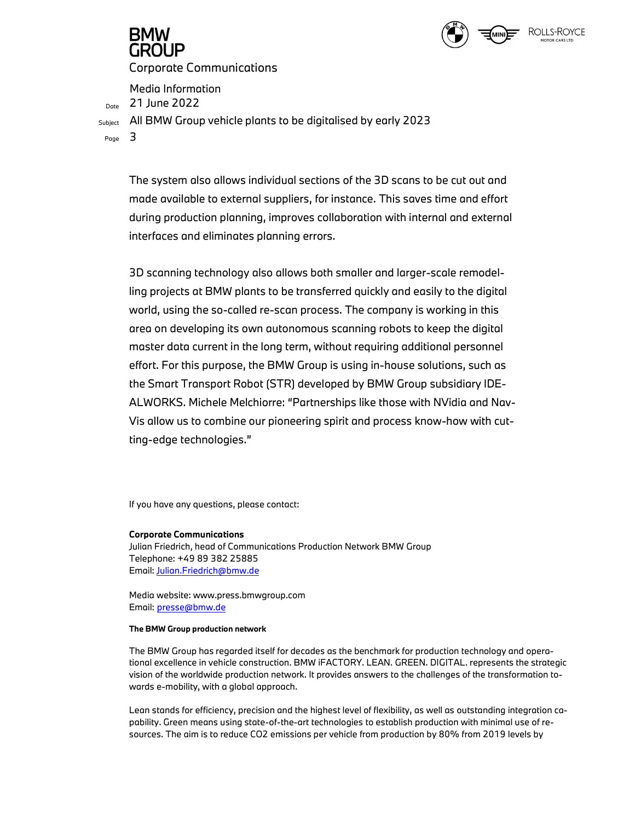

Corporate Communications

Media Information<br> $D_{\text{Dote}}$  21 June 2022

Subject All BMW Group vehicle plants to be digitalised by early 2023

Page  $\mathbf 3$ 

The system also allows individual sections of the 3D scans to be cut out and made available to external suppliers, for instance. This saves time and effort during production planning, improves collaboration with internal and external interfaces and eliminates planning errors.

3D scanning technology also allows both smaller and larger-scale remodelling projects at BMW plants to be transferred quickly and easily to the digital world, using the so-called re-scan process. The company is working in this area on developing its own autonomous scanning robots to keep the digital master data current in the long term, without requiring additional personnel effort. For this purpose, the BMW Group is using in-house solutions, such as the Smart Transport Robot (STR) developed by BMW Group subsidiary IDE-ALWORKS. Michele Melchiorre: "Partnerships like those with NVidia and Nav-Vis allow us to combine our pioneering spirit and process know-how with cutting-edge technologies."

If you have any questions, please contact:

## Corporate Communications

Julian Friedrich, head of Communications Production Network BMW Group Telephone: +49 89 382 25885 Email: Julian.Friedrich@bmw.de

Media website: www.press.bmwgroup.com Email: presse@bmw.de

## The BMW Group production network

The BMW Group has regarded itself for decades as the benchmark for production technology and operational excellence in vehicle construction. BMW iFACTORY. LEAN. GREEN. DIGITAL. represents the strategic vision of the worldwide production network. It provides answers to the challenges of the transformation towards e-mobility, with a global approach.

Lean stands for efficiency, precision and the highest level of flexibility, as well as outstanding integration capability. Green means using state-of-the-art technologies to establish production with minimal use of resources. The aim is to reduce CO2 emissions per vehicle from production by 80% from 2019 levels by